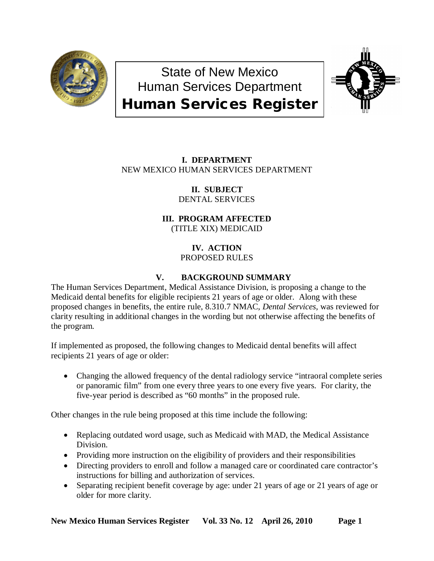

# State of New Mexico Human Services Department Human Services Register



# **I. DEPARTMENT** NEW MEXICO HUMAN SERVICES DEPARTMENT

**II. SUBJECT** DENTAL SERVICES

# **III. PROGRAM AFFECTED** (TITLE XIX) MEDICAID

## **IV. ACTION** PROPOSED RULES

# **V. BACKGROUND SUMMARY**

The Human Services Department, Medical Assistance Division, is proposing a change to the Medicaid dental benefits for eligible recipients 21 years of age or older. Along with these proposed changes in benefits, the entire rule, 8.310.7 NMAC, *Dental Services*, was reviewed for clarity resulting in additional changes in the wording but not otherwise affecting the benefits of the program.

If implemented as proposed, the following changes to Medicaid dental benefits will affect recipients 21 years of age or older:

• Changing the allowed frequency of the dental radiology service "intraoral complete series" or panoramic film" from one every three years to one every five years. For clarity, the five-year period is described as "60 months" in the proposed rule.

Other changes in the rule being proposed at this time include the following:

- Replacing outdated word usage, such as Medicaid with MAD, the Medical Assistance Division.
- Providing more instruction on the eligibility of providers and their responsibilities
- Directing providers to enroll and follow a managed care or coordinated care contractor's instructions for billing and authorization of services.
- Separating recipient benefit coverage by age: under 21 years of age or 21 years of age or older for more clarity.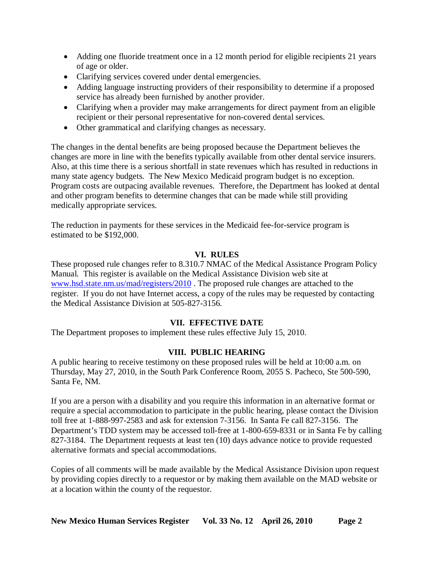- Adding one fluoride treatment once in a 12 month period for eligible recipients 21 years of age or older.
- Clarifying services covered under dental emergencies.
- Adding language instructing providers of their responsibility to determine if a proposed service has already been furnished by another provider.
- Clarifying when a provider may make arrangements for direct payment from an eligible recipient or their personal representative for non-covered dental services.
- Other grammatical and clarifying changes as necessary.

The changes in the dental benefits are being proposed because the Department believes the changes are more in line with the benefits typically available from other dental service insurers. Also, at this time there is a serious shortfall in state revenues which has resulted in reductions in many state agency budgets. The New Mexico Medicaid program budget is no exception. Program costs are outpacing available revenues. Therefore, the Department has looked at dental and other program benefits to determine changes that can be made while still providing medically appropriate services.

The reduction in payments for these services in the Medicaid fee-for-service program is estimated to be \$192,000.

## **VI. RULES**

These proposed rule changes refer to 8.310.7 NMAC of the Medical Assistance Program Policy Manual. This register is available on the Medical Assistance Division web site at [www.hsd.state.nm.us/mad/registers/2010](http://www.hsd.state.nm.us/mad/registers/2010) . The proposed rule changes are attached to the register. If you do not have Internet access, a copy of the rules may be requested by contacting the Medical Assistance Division at 505-827-3156.

## **VII. EFFECTIVE DATE**

The Department proposes to implement these rules effective July 15, 2010.

## **VIII. PUBLIC HEARING**

A public hearing to receive testimony on these proposed rules will be held at 10:00 a.m. on Thursday, May 27, 2010, in the South Park Conference Room, 2055 S. Pacheco, Ste 500-590, Santa Fe, NM.

If you are a person with a disability and you require this information in an alternative format or require a special accommodation to participate in the public hearing, please contact the Division toll free at 1-888-997-2583 and ask for extension 7-3156. In Santa Fe call 827-3156. The Department's TDD system may be accessed toll-free at 1-800-659-8331 or in Santa Fe by calling 827-3184. The Department requests at least ten (10) days advance notice to provide requested alternative formats and special accommodations.

Copies of all comments will be made available by the Medical Assistance Division upon request by providing copies directly to a requestor or by making them available on the MAD website or at a location within the county of the requestor.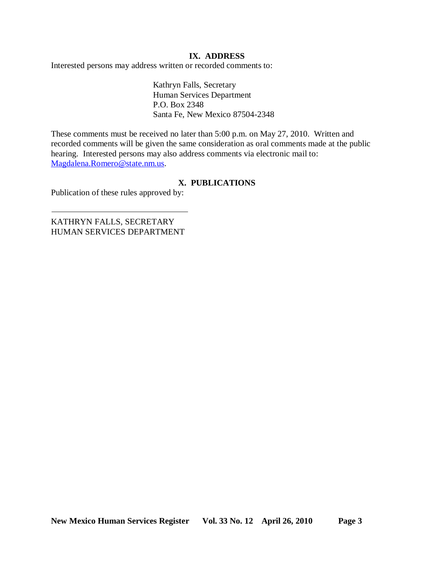## **IX. ADDRESS**

Interested persons may address written or recorded comments to:

Kathryn Falls, Secretary Human Services Department P.O. Box 2348 Santa Fe, New Mexico 87504-2348

These comments must be received no later than 5:00 p.m. on May 27, 2010. Written and recorded comments will be given the same consideration as oral comments made at the public hearing. Interested persons may also address comments via electronic mail to: [Magdalena.Romero@state.nm.us.](mailto:Magdalena.Romero@state.nm.us)

## **X. PUBLICATIONS**

Publication of these rules approved by:

KATHRYN FALLS, SECRETARY HUMAN SERVICES DEPARTMENT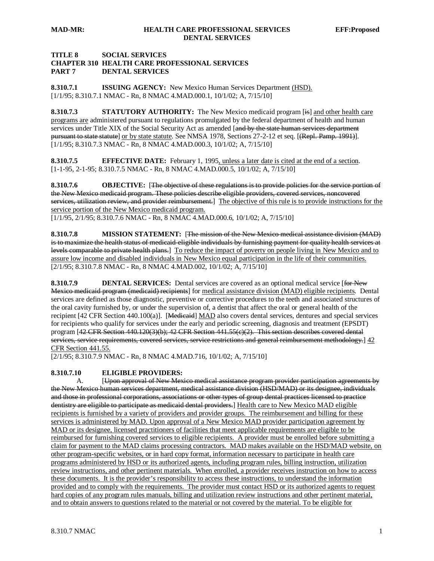## **TITLE 8 SOCIAL SERVICES CHAPTER 310 HEALTH CARE PROFESSIONAL SERVICES PART 7 DENTAL SERVICES**

**8.310.7.1 ISSUING AGENCY:** New Mexico Human Services Department (HSD). [1/1/95; 8.310.7.1 NMAC - Rn, 8 NMAC 4.MAD.000.1, 10/1/02; A, 7/15/10]

**8.310.7.3 STATUTORY AUTHORITY:** The New Mexico medicaid program [is] and other health care programs are administered pursuant to regulations promulgated by the federal department of health and human services under Title XIX of the Social Security Act as amended [and by the state human services department <del>pursuant to state statute</del>] <u>or by state statute</u>. See NMSA 1978, Sections 27-2-12 et seq. [<del>(Repl. Pamp. 1991)</del>]. [1/1/95; 8.310.7.3 NMAC - Rn, 8 NMAC 4.MAD.000.3, 10/1/02; A, 7/15/10]

**8.310.7.5 EFFECTIVE DATE:** February 1, 1995, unless a later date is cited at the end of a section. [1-1-95, 2-1-95; 8.310.7.5 NMAC - Rn, 8 NMAC 4.MAD.000.5, 10/1/02; A, 7/15/10]

**8.310.7.6 OBJECTIVE:** [The objective of these regulations is to provide policies for the service portion of the New Mexico medicaid program. These policies describe eligible providers, covered services, noncovered services, utilization review, and provider reimbursement.] The objective of this rule is to provide instructions for the service portion of the New Mexico medicaid program.

[1/1/95, 2/1/95; 8.310.7.6 NMAC - Rn, 8 NMAC 4.MAD.000.6, 10/1/02; A, 7/15/10]

**8.310.7.8 MISSION STATEMENT:** [The mission of the New Mexico medical assistance division (MAD) is to maximize the health status of medicaid-eligible individuals by furnishing payment for quality health services at levels comparable to private health plans.] To reduce the impact of poverty on people living in New Mexico and to [2/1/95; 8.310.7.8 NMAC - Rn, 8 NMAC 4.MAD.002, 10/1/02; A, 7/15/10] assure low income and disabled individuals in New Mexico equal participation in the life of their communities.

**8.310.7.9 DENTAL SERVICES:** Dental services are covered as an optional medical service [for New Mexico medicaid program (medicaid) recipients] for medical assistance division (MAD) eligible recipients. Dental services are defined as those diagnostic, preventive or corrective procedures to the teeth and associated structures of the oral cavity furnished by, or under the supervision of, a dentist that affect the oral or general health of the recipient [42 CFR Section 440.100(a)]. [Medicaid] MAD also covers dental services, dentures and special services for recipients who qualify for services under the early and periodic screening, diagnosis and treatment (EPSDT) program [42 CFR Section 440.120(3)(b); 42 CFR Section 441.55(c)(2). This section describes covered dental services, service requirements, covered services, service restrictions and general reimbursement methodology.]  $42$ CFR Section 441.55.

[2/1/95; 8.310.7.9 NMAC - Rn, 8 NMAC 4.MAD.716, 10/1/02; A, 7/15/10]

#### **8.310.7.10 ELIGIBLE PROVIDERS:**

A. [Upon approval of New Mexico medical assistance program provider participation agreements by the New Mexico human services department, medical assistance division (HSD/MAD) or its designee, individuals and those in professional corporations, associations or other types of group dental practices licensed to practice dentistry are eligible to participate as medicaid dental providers.] Health care to New Mexico MAD eligible recipients is furnished by a variety of providers and provider groups. The reimbursement and billing for these services is administered by MAD. Upon approval of a New Mexico MAD provider participation agreement by MAD or its designee, licensed practitioners of facilities that meet applicable requirements are eligible to be reimbursed for furnishing covered services to eligible recipients. A provider must be enrolled before submitting a claim for payment to the MAD claims processing contractors. MAD makes available on the HSD/MAD website, on other program-specific websites, or in hard copy format, information necessary to participate in health care programs administered by HSD or its authorized agents, including program rules, billing instruction, utilization review instructions, and other pertinent materials. When enrolled, a provider receives instruction on how to access these documents. It is the provider's responsibility to access these instructions, to understand the information provided and to comply with the requirements. The provider must contact HSD or its authorized agents to request hard copies of any program rules manuals, billing and utilization review instructions and other pertinent material, and to obtain answers to questions related to the material or not covered by the material. To be eligible for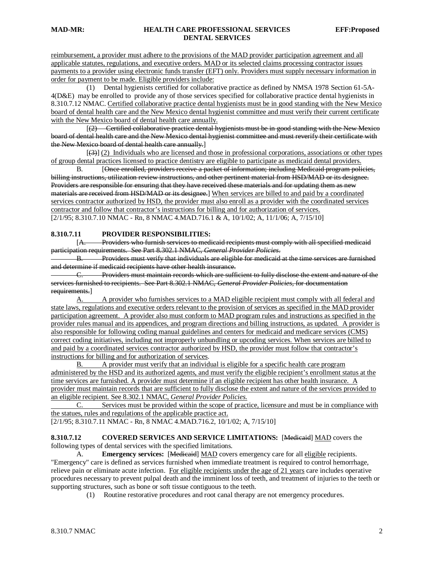reimbursement, a provider must adhere to the provisions of the MAD provider participation agreement and all applicable statutes, regulations, and executive orders. MAD or its selected claims processing contractor issues payments to a provider using electronic funds transfer (EFT) only. Providers must supply necessary information in order for payment to be made. Eligible providers include:

 (1) Dental hygienists certified for collaborative practice as defined by NMSA 1978 Section 61-5A-4(D&E) may be enrolled to provide any of those services specified for collaborative practice dental hygienists in 8.310.7.12 NMAC. Certified collaborative practice dental hygienists must be in good standing with the New Mexico board of dental health care and the New Mexico dental hygienist committee and must verify their current certificate with the New Mexico board of dental health care annually.

 $\begin{bmatrix} 1 & 1 \\ 1 & 1 \end{bmatrix}$ (2) Certified collaborative practice dental hygienists must be in good standing with the New Mexico board of dental health care and the New Mexico dental hygienist committee and must reverify their certificate with the New Mexico board of dental health care annually. ]

 $\mathbb{R}^n$  and  $\mathbb{R}^n$ (3)] (2) Individuals who are licensed and those in professional corporations, associations or other types of group dental practices licensed to practice dentistry are eligible to participate as medicaid dental providers.

 $B<sub>r</sub>$ [Once enrolled, providers receive a packet of information; including Medicaid program policies, billing instructions, utilization review instructions, and other pertinent material from HSD/MAD or its designee. Providers are responsible for ensuring that they have received these materials and for updating them as new materials are received from HSD/MAD or its designee.] When services are billed to and paid by a coordinated [2/1/95; 8.310.7.10 NMAC - Rn, 8 NMAC 4.MAD.716.1 & A, 10/1/02; A, 11/1/06; A, 7/15/10] services contractor authorized by HSD, the provider must also enroll as a provider with the coordinated services contractor and follow that contractor's instructions for billing and for authorization of services.

#### **8.310.7.11 PROVIDER RESPONSIBILITIES:**

[A. Providers who furnish services to medicaid recipients must comply with all specified medicaid participation requirements. See Part 8.302.1 NMAC, *General Provider Policies*.

B. Providers must verify that individuals are eligible for medicaid at the time services are furnished and determine if medicaid recipients have other health insurance.

C. Providers must maintain records which are sufficient to fully disclose the extent and nature of the services furnished to recipients. See Part 8.302.1 NMAC, *General Provider Policies*, for documentation requirements.]

A. A provider who furnishes services to a MAD eligible recipient must comply with all federal and state laws, regulations and executive orders relevant to the provision of services as specified in the MAD provider participation agreement. A provider also must conform to MAD program rules and instructions as specified in the provider rules manual and its appendices, and program directions and billing instructions, as updated. A provider is also responsible for following coding manual guidelines and centers for medicaid and medicare services (CMS) correct coding initiatives, including not improperly unbundling or upcoding services. When services are billed to and paid by a coordinated services contractor authorized by HSD, the provider must follow that contractor's instructions for billing and for authorization of services.

B. A provider must verify that an individual is eligible for a specific health care program administered by the HSD and its authorized agents, and must verify the eligible recipient's enrollment status at the time services are furnished. A provider must determine if an eligible recipient has other health insurance. A provider must maintain records that are sufficient to fully disclose the extent and nature of the services provided to an eligible recipient. See 8.302.1 NMAC, *General Provider Policies.*

C. Services must be provided within the scope of practice, licensure and must be in compliance with the statues, rules and regulations of the applicable practice act.

[2/1/95; 8.310.7.11 NMAC - Rn, 8 NMAC 4.MAD.716.2, 10/1/02; A, 7/15/10]

**8.310.7.12 COVERED SERVICES AND SERVICE LIMITATIONS:** [Medicaid] MAD covers the following types of dental services with the specified limitations.

A. **Emergency services:** [Medicaid] MAD covers emergency care for all eligible recipients. "Emergency" care is defined as services furnished when immediate treatment is required to control hemorrhage, relieve pain or eliminate acute infection. For eligible recipients under the age of 21 years care includes operative procedures necessary to prevent pulpal death and the imminent loss of teeth, and treatment of injuries to the teeth or supporting structures, such as bone or soft tissue contiguous to the teeth.

(1) Routine restorative procedures and root canal therapy are not emergency procedures.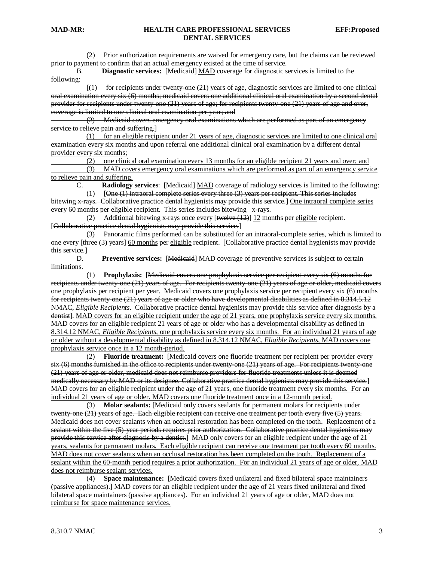#### **MAD-MR: HEALTH CARE PROFESSIONAL SERVICES EFF:Proposed DENTAL SERVICES**

 (2) Prior authorization requirements are waived for emergency care, but the claims can be reviewed prior to payment to confirm that an actual emergency existed at the time of service.

B. **Diagnostic services:** [Medicaid] MAD coverage for diagnostic services is limited to the following:

 $\begin{bmatrix} 1 & 1 \\ 1 & 1 \end{bmatrix}$  $(1)$  for recipients under twenty-one  $(21)$  years of age, diagnostic services are limited to one clinical oral examination every six (6) months; medicaid covers one additional clinical oral examination by a second dental provider for recipients under twenty-one (21) years of age; for recipients twenty-one (21) years of age and over, coverage is limited to one clinical oral examination per year; and

 (2) Medicaid covers emergency oral examinations which are performed as part of an emergency service to relieve pain and suffering.]

(1) for an eligible recipient under 21 years of age, diagnostic services are limited to one clinical oral examination every six months and upon referral one additional clinical oral examination by a different dental provider every six months;

(2) one clinical oral examination every 13 months for an eligible recipient 21 years and over; and

 (3) MAD covers emergency oral examinations which are performed as part of an emergency service to relieve pain and suffering.

C. **Radiology services**: [ Medicaid] MAD coverage of radiology services is limited to the following:

(1) [ One (1) intraoral complete series every three (3) years per recipient. This series includes

bitewing x rays. Collaborative practice dental hygienists may provide this service.] One intraoral complete series every 60 months per eligible recipient. This series includes bitewing  $-x$ -rays.<br>(2) Additional bitewing x-rays once every [<del>twelve (12)</del>] 12 mon

(2) Additional bitewing x-rays once every  $[\text{twelve}(12)]$  12 months per eligible recipient. [Collaborative practice dental hygienists may provide this service.]

 (3) Panoramic films performed can be substituted for an intraoral-complete series, which is limited to one every [three (3) years] 60 months per eligible recipient. [Collaborative practice dental hygienists may provide this service. ]

D. **Preventive services:** [Medicaid] MAD coverage of preventive services is subject to certain limitations.

 (1) **Prophylaxis:** [ Medicaid covers one prophylaxis service per recipient every six (6) months for recipients under twenty-one (21) years of age. For recipients twenty-one (21) years of age or older, medicaid covers one prophylaxis per recipient per year. Medicaid covers one prophylaxis service per recipient every six (6) months for recipients twenty-one (21) years of age or older who have developmental disabilities as defined in 8.314.5.12 NMAC, *Eligible Recipients*. Collaborative practice dental hygienists may provide this service after diagnosis by a dentist]. MAD covers for an eligible recipient under the age of 21 years, one prophylaxis service every six months. MAD covers for an eligible recipient 21 years of age or older who has a developmental disability as defined in 8.314.12 NMAC, *Eligible Recipients*, one prophylaxis service every six months. For an individual 21 years of age or older without a developmental disability as defined in 8.314.12 NMAC, *Eligible Recipients*, MAD covers one prophylaxis service once in a 12 month-period.

 (2) **Fluoride treatment:** [ Medicaid covers one fluoride treatment per recipient per provider every six (6) months furnished in the office to recipients under twenty-one (21) years of age. For recipients twenty-one (21) years of age or older, medicaid does not reimburse providers for fluoride treatments unless it is deemed medically necessary by MAD or its designee. Collaborative practice dental hygienists may provide this service.] MAD covers for an eligible recipient under the age of 21 years, one fluoride treatment every six months. For an individual 21 years of age or older. MAD covers one fluoride treatment once in a 12-month period.

 (3) **Molar sealants:** [ Medicaid only covers sealants for permanent molars for recipients under twenty-one (21) years of age. Each eligible recipient can receive one treatment per tooth every five (5) years. Medicaid does not cover sealants when an occlusal restoration has been completed on the tooth. Replacement of a sealant within the five (5)-year periods requires prior authorization. Collaborative practice dental hygienists may provide this service after diagnosis by a dentist.] MAD only covers for an eligible recipient under the age of 21 years, sealants for permanent molars. Each eligible recipient can receive one treatment per tooth every 60 months. MAD does not cover sealants when an occlusal restoration has been completed on the tooth. Replacement of a sealant within the 60-month period requires a prior authorization. For an individual 21 years of age or older, MAD does not reimburse sealant services.

 (4) **Space maintenance:** [ Medicaid covers fixed unilateral and fixed bilateral space maintainers (passive appliances).] MAD covers for an eligible recipient under the age of 21 years fixed unilateral and fixed bilateral space maintainers (passive appliances). For an individual 21 years of age or older, MAD does not reimburse for space maintenance services.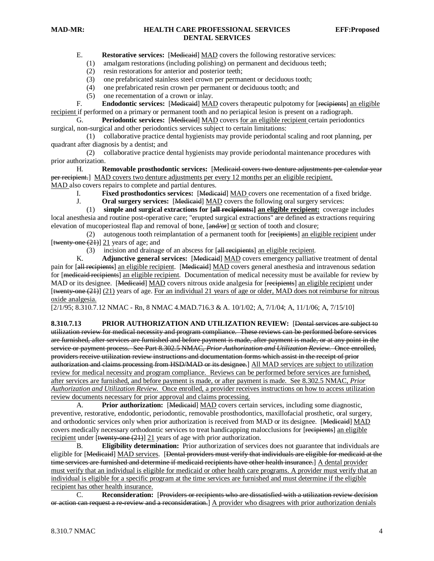#### **MAD-MR: HEALTH CARE PROFESSIONAL SERVICES EFF:Proposed DENTAL SERVICES**

E. **Restorative services:** [**Medicaid**] **MAD** covers the following restorative services:

- (1) amalgam restorations (including polishing) on permanent and deciduous teeth;
- (2) resin restorations for anterior and posterior teeth;
- (3) one prefabricated stainless steel crown per permanent or deciduous tooth;
- (4) one prefabricated resin crown per permanent or deciduous tooth; and
- (5) one recementation of a crown or inlay.

F. **Endodontic services:** [Medicaid] MAD covers therapeutic pulpotomy for [recipients] an eligible recipient if performed on a primary or permanent tooth and no periapical lesion is present on a radiograph.

G. Periodontic services: [Medicaid] MAD covers for an eligible recipient certain periodontics surgical, non-surgical and other periodontics services subject to certain limitations:

 (1) collaborative practice dental hygienists may provide periodontal scaling and root planning, per quadrant after diagnosis by a dentist; and

 (2) collaborative practice dental hygienists may provide periodontal maintenance procedures with prior authorization.

H. **Removable prosthodontic services:** [Medicaid covers two denture adjustments per calendar year per recipient.] MAD covers two denture adjustments per every 12 months per an eligible recipient. MAD also covers repairs to complete and partial dentures.

I. **Fixed prosthodontics services:** [Medicaid] MAD covers one recementation of a fixed bridge.

J. **Oral surgery services:** [ Medicaid] MAD covers the following oral surgery services:

 (1) **simple and surgical extractions for [ all recipients:] an eligible recipient:** coverage includes local anesthesia and routine post-operative care; "erupted surgical extractions" are defined as extractions requiring elevation of mucoperiosteal flap and removal of bone, [and/or] or section of tooth and closure;

(2) autogenous tooth reimplantation of a permanent tooth for [<del>recipients</del>] an eligible recipient under [twenty one  $(21)$ ]  $21$  years of age; and

(3) incision and drainage of an abscess for [all recipients] an eligible recipient.

K. **Adjunctive general services:** [Medicaid] MAD covers emergency palliative treatment of dental pain for [all recipients] an eligible recipient. [Medicaid] MAD covers general anesthesia and intravenous sedation for [medicaid recipients] an eligible recipient. Documentation of medical necessity must be available for review by MAD or its designee. [Medicaid] MAD covers nitrous oxide analgesia for [recipients] an eligible recipient under  $[$ twenty-one  $(21)$   $(21)$  years of age. For an individual 21 years of age or older, MAD does not reimburse for nitrous oxide analgesia.

[2/1/95; 8.310.7.12 NMAC - Rn, 8 NMAC 4.MAD.716.3 & A. 10/1/02; A, 7/1/04; A, 11/1/06; A, 7/15/10]

8.310.7.13 **PRIOR AUTHORIZATION AND UTILIZATION REVIEW:** [Dental services are subject to utilization review for medical necessity and program compliance. These reviews can be performed before services are furnished, after services are furnished and before payment is made, after payment is made, or at any point in the service or payment process. See Part 8.302.5 NMAC, *Prior Authorization and Utilization Review*. Once enrolled, providers receive utilization review instructions and documentation forms which assist in the receipt of prior authorization and claims processing from HSD/MAD or its designee.] All MAD services are subject to utilization review for medical necessity and program compliance. Reviews can be performed before services are furnished, after services are furnished, and before payment is made, or after payment is made. See 8.302.5 NMAC, *Prior Authorization and Utilization Review*. Once enrolled, a provider receives instructions on how to access utilization review documents necessary for prior approval and claims processing.

A. **Prior authorization:** [Medicaid] MAD covers certain services, including some diagnostic, preventive, restorative, endodontic, periodontic, removable prosthodontics, maxillofacial prosthetic, oral surgery, and orthodontic services only when prior authorization is received from MAD or its designee. [Medicaid] MAD covers medically necessary orthodontic services to treat handicapping malocclusions for [recipients] an eligible recipient under [twenty one (21)] 21 years of age with prior authorization.

B. **Eligibility determination:** Prior authorization of services does not guarantee that individuals are eligible for [<del>Medicaid</del>] <u>MAD services</u>. [<del>Dental providers must verify that individuals are eligible for medicaid at the</del> time services are furnished and determine if medicaid recipients have other health insurance.] A dental provider must verify that an individual is eligible for medicaid or other health care programs. A provider must verify that an individual is eligible for a specific program at the time services are furnished and must determine if the eligible recipient has other health insurance.<br>C. **Reconsideration:** 

C. **Reconsideration:** [ Providers or recipients who are dissatisfied with a utilization review decision or action can request a re-review and a reconsideration.] A provider who disagrees with prior authorization denials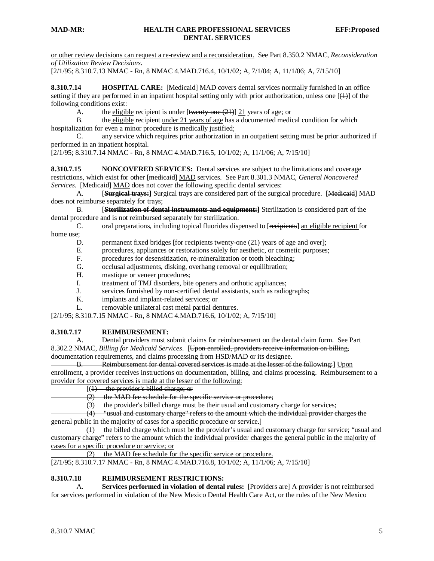or other review decisions can request a re-review and a reconsideration. See Part 8.350.2 NMAC, *Reconsideration of Utilization Review Decisions*.

[2/1/95; 8.310.7.13 NMAC - Rn, 8 NMAC 4.MAD.716.4, 10/1/02; A, 7/1/04; A, 11/1/06; A, 7/15/10]

**8.310.7.14 HOSPITAL CARE:** [Medicaid] MAD covers dental services normally furnished in an office setting if they are performed in an inpatient hospital setting only with prior authorization, unless one  $[\frac{(1)}{2}]$  of the following conditions exist:

A. the eligible recipient is under [twenty-one (21)] 21 years of age; or

B. the eligible recipient under 21 years of age has a documented medical condition for which hospitalization for even a minor procedure is medically justified;

C. any service which requires prior authorization in an outpatient setting must be prior authorized if performed in an inpatient hospital.

[2/1/95; 8.310.7.14 NMAC - Rn, 8 NMAC 4.MAD.716.5, 10/1/02; A, 11/1/06; A, 7/15/10]

**8.310.7.15 NONCOVERED SERVICES:** Dental services are subject to the limitations and coverage restrictions, which exist for other [medicaid] MAD services. See Part 8.301.3 NMAC, *General Noncovered*  Services. [Medicaid] MAD does not cover the following specific dental services:

 $A<sub>l</sub>$ **Surgical trays:** Surgical trays are considered part of the surgical procedure. [Medicaid] MAD does not reimburse separately for trays;

 $B<sub>r</sub>$ **Sterilization of dental instruments and equipment: ]** Sterilization is considered part of the dental procedure and is not reimbursed separately for sterilization.

C. oral preparations, including topical fluorides dispensed to [recipients] an eligible recipient for home use;<br>D.

D. permanent fixed bridges [for recipients twenty-one (21) years of age and over];

- E. procedures, appliances or restorations solely for aesthetic, or cosmetic purposes;
- F. procedures for desensitization, re-mineralization or tooth bleaching;
- G. occlusal adjustments, disking, overhang removal or equilibration;
- H. mastique or veneer procedures;
- I. treatment of TMJ disorders, bite openers and orthotic appliances;
- J. services furnished by non-certified dental assistants, such as radiographs;
- K. implants and implant-related services; or
- L. removable unilateral cast metal partial dentures.

[2/1/95; 8.310.7.15 NMAC - Rn, 8 NMAC 4.MAD.716.6, 10/1/02; A, 7/15/10]

### **8.310.7.17 REIMBURSEMENT:**

A. Dental providers must submit claims for reimbursement on the dental claim form. See Part 8.302.2 NMAC, *Billing for Medicaid Services*. [Upon enrolled, providers receive information on billing, documentation requirements, and claims processing from HSD/MAD or its designee.

B. Reimbursement for dental covered services is made at the lesser of the following: ] Upon enrollment, a provider receives instructions on documentation, billing, and claims processing. Reimbursement to a provider for covered services is made at the lesser of the following:

[( 1) the provider's billed charge; or

(2) the MAD fee schedule for the specific service or procedure;

(3) the provider's billed charge must be their usual and customary charge for services;

 (4) "usual and customary charge" refers to the amount which the individual provider charges the general public in the majority of cases for a specific procedure or service. ]

(1) the billed charge which must be the provider's usual and customary charge for service; "usual and customary charge" refers to the amount which the individual provider charges the general public in the majority of cases for a specific procedure or service; or

(2) the MAD fee schedule for the specific service or procedure.

[2/1/95; 8.310.7.17 NMAC - Rn, 8 NMAC 4.MAD.716.8, 10/1/02; A, 11/1/06; A, 7/15/10]

#### **8.310.7.18 REIMBURSEMENT RESTRICTIONS:**

A. **Services performed in violation of dental rules:** [Providers are] A provider is not reimbursed for services performed in violation of the New Mexico Dental Health Care Act, or the rules of the New Mexico